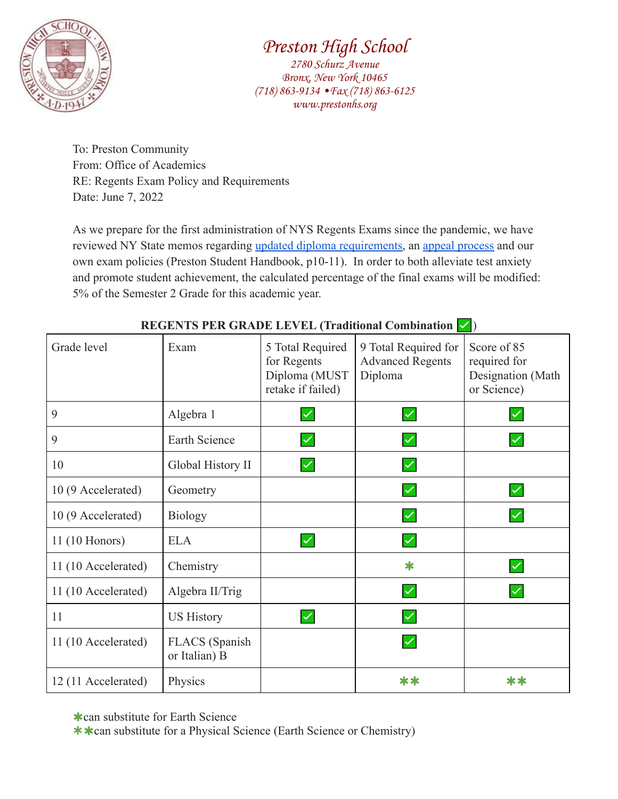

# *Preston High School*

*2780 Schurz Avenue Bronx, New York 10465 (718) 863-9134 •Fax (718) 863-6125 www.prestonhs.org*

To: Preston Community From: Office of Academics RE: Regents Exam Policy and Requirements Date: June 7, 2022

As we prepare for the first administration of NYS Regents Exams since the pandemic, we have reviewed NY State memos regarding [updated diploma](http://www.nysed.gov/curriculum-instruction/diploma-types) requirements, an [appeal process](http://www.nysed.gov/memo/curriculum-instruction/flexibility-use-2021-22-and-2022-23-regents-examination-scores-satisfy) and our own exam policies (Preston Student Handbook, p10-11). In order to both alleviate test anxiety and promote student achievement, the calculated percentage of the final exams will be modified: 5% of the Semester 2 Grade for this academic year.

| Grade level         | Exam                                   | 5 Total Required<br>for Regents<br>Diploma (MUST<br>retake if failed) | 9 Total Required for<br><b>Advanced Regents</b><br>Diploma | Score of 85<br>required for<br>Designation (Math<br>or Science) |
|---------------------|----------------------------------------|-----------------------------------------------------------------------|------------------------------------------------------------|-----------------------------------------------------------------|
| 9                   | Algebra 1                              |                                                                       | $\checkmark$                                               |                                                                 |
| 9                   | <b>Earth Science</b>                   |                                                                       | $\checkmark$                                               |                                                                 |
| 10                  | Global History II                      |                                                                       | $\checkmark$                                               |                                                                 |
| 10 (9 Accelerated)  | Geometry                               |                                                                       |                                                            |                                                                 |
| 10 (9 Accelerated)  | <b>Biology</b>                         |                                                                       |                                                            |                                                                 |
| $11(10$ Honors)     | <b>ELA</b>                             |                                                                       | $\checkmark$                                               |                                                                 |
| 11 (10 Accelerated) | Chemistry                              |                                                                       | $\ast$                                                     |                                                                 |
| 11 (10 Accelerated) | Algebra II/Trig                        |                                                                       | $\checkmark$                                               |                                                                 |
| 11                  | <b>US History</b>                      |                                                                       | $\checkmark$                                               |                                                                 |
| 11 (10 Accelerated) | <b>FLACS</b> (Spanish<br>or Italian) B |                                                                       | $\checkmark$                                               |                                                                 |
| 12 (11 Accelerated) | Physics                                |                                                                       | $\bm{*}$                                                   | ж ж                                                             |

## **REGENTS PER GRADE LEVEL (Traditional Combination** ✅)

✱can substitute for Earth Science

✱✱can substitute for a Physical Science (Earth Science or Chemistry)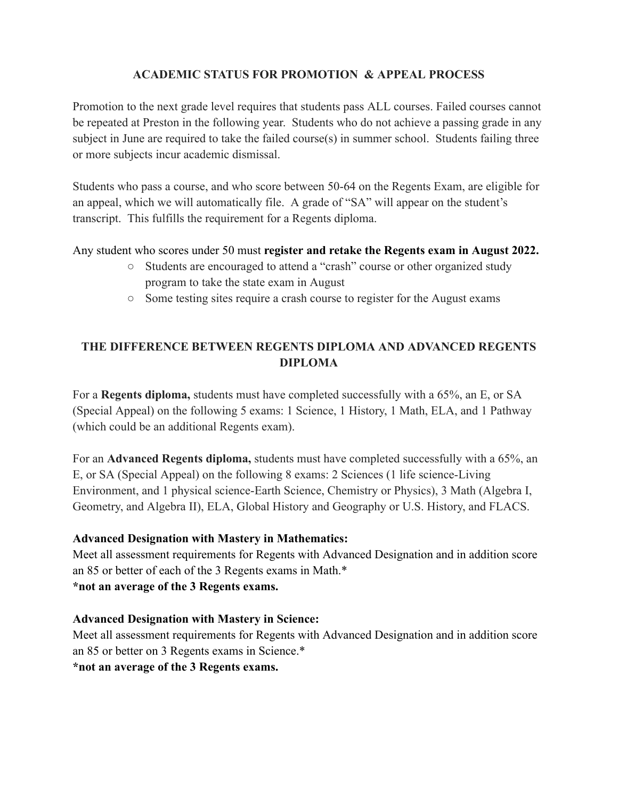## **ACADEMIC STATUS FOR PROMOTION & APPEAL PROCESS**

Promotion to the next grade level requires that students pass ALL courses. Failed courses cannot be repeated at Preston in the following year. Students who do not achieve a passing grade in any subject in June are required to take the failed course(s) in summer school. Students failing three or more subjects incur academic dismissal.

Students who pass a course, and who score between 50-64 on the Regents Exam, are eligible for an appeal, which we will automatically file. A grade of "SA" will appear on the student's transcript. This fulfills the requirement for a Regents diploma.

Any student who scores under 50 must **register and retake the Regents exam in August 2022.**

- Students are encouraged to attend a "crash" course or other organized study program to take the state exam in August
- Some testing sites require a crash course to register for the August exams

# **THE DIFFERENCE BETWEEN REGENTS DIPLOMA AND ADVANCED REGENTS DIPLOMA**

For a **Regents diploma,** students must have completed successfully with a 65%, an E, or SA (Special Appeal) on the following 5 exams: 1 Science, 1 History, 1 Math, ELA, and 1 Pathway (which could be an additional Regents exam).

For an **Advanced Regents diploma,** students must have completed successfully with a 65%, an E, or SA (Special Appeal) on the following 8 exams: 2 Sciences (1 life science-Living Environment, and 1 physical science-Earth Science, Chemistry or Physics), 3 Math (Algebra I, Geometry, and Algebra II), ELA, Global History and Geography or U.S. History, and FLACS.

### **Advanced Designation with Mastery in Mathematics:**

Meet all assessment requirements for Regents with Advanced Designation and in addition score an 85 or better of each of the 3 Regents exams in Math.\* **\*not an average of the 3 Regents exams.**

## **Advanced Designation with Mastery in Science:**

Meet all assessment requirements for Regents with Advanced Designation and in addition score an 85 or better on 3 Regents exams in Science.\* **\*not an average of the 3 Regents exams.**